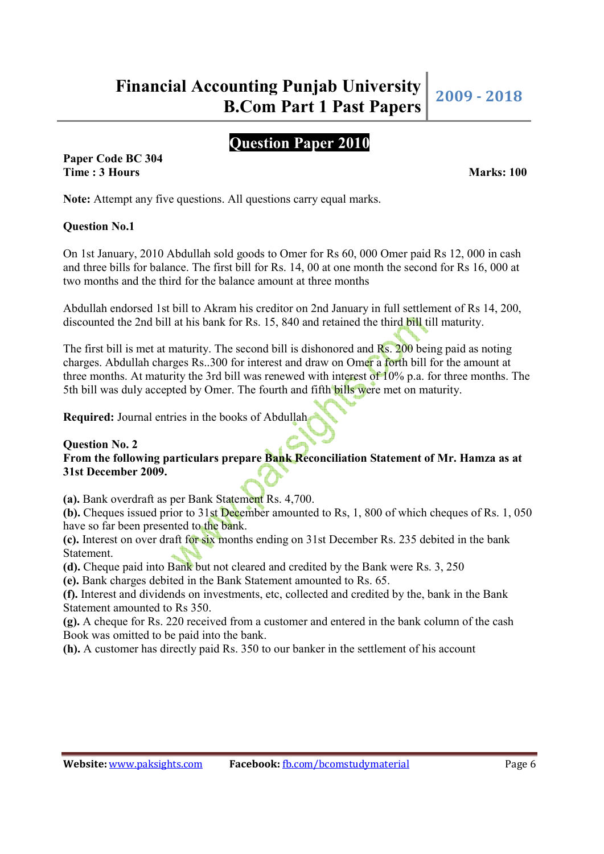# **Question Paper 2010**

**Paper Code BC 304 Time : 3 Hours Marks: 100** 

**Note:** Attempt any five questions. All questions carry equal marks.

## **Question No.1**

On 1st January, 2010 Abdullah sold goods to Omer for Rs 60, 000 Omer paid Rs 12, 000 in cash and three bills for balance. The first bill for Rs. 14, 00 at one month the second for Rs 16, 000 at two months and the third for the balance amount at three months

Abdullah endorsed 1st bill to Akram his creditor on 2nd January in full settlement of Rs 14, 200, discounted the 2nd bill at his bank for Rs. 15, 840 and retained the third bill till maturity.

The first bill is met at maturity. The second bill is dishonored and Rs. 200 being paid as noting charges. Abdullah charges Rs..300 for interest and draw on Omer a forth bill for the amount at three months. At maturity the 3rd bill was renewed with interest of 10% p.a. for three months. The 5th bill was duly accepted by Omer. The fourth and fifth **bills were met on maturity**.

**Required:** Journal entries in the books of Abdullah

#### **Question No. 2 From the following particulars prepare Bank Reconciliation Statement of Mr. Hamza as at 31st December 2009.**

**(a).** Bank overdraft as per Bank Statement Rs. 4,700.

**(b).** Cheques issued prior to 31st December amounted to Rs, 1, 800 of which cheques of Rs. 1, 050 have so far been presented to the bank.

**(c).** Interest on over draft for six months ending on 31st December Rs. 235 debited in the bank Statement.

**(d).** Cheque paid into Bank but not cleared and credited by the Bank were Rs. 3, 250

**(e).** Bank charges debited in the Bank Statement amounted to Rs. 65.

**(f).** Interest and dividends on investments, etc, collected and credited by the, bank in the Bank Statement amounted to Rs 350.

**(g).** A cheque for Rs. 220 received from a customer and entered in the bank column of the cash Book was omitted to be paid into the bank.

**(h).** A customer has directly paid Rs. 350 to our banker in the settlement of his account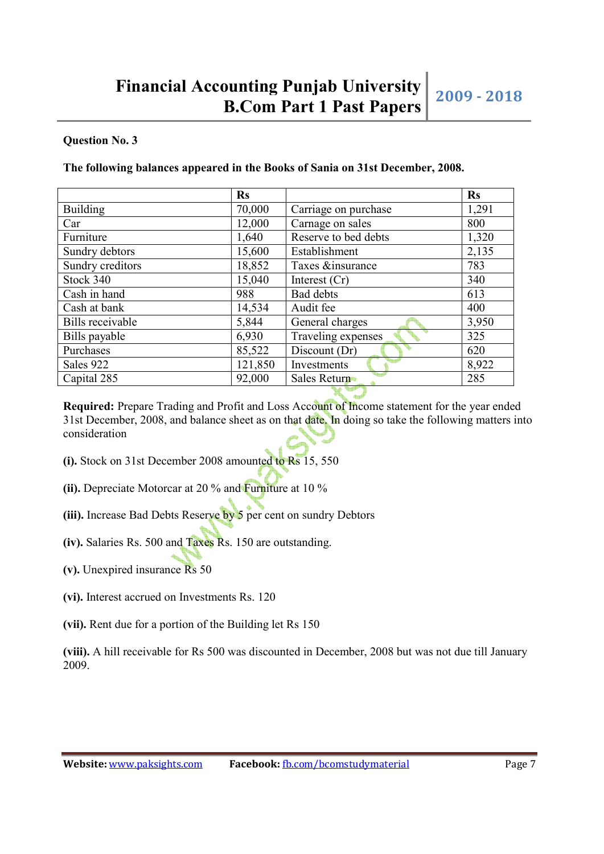## **Question No. 3**

#### **The following balances appeared in the Books of Sania on 31st December, 2008.**

|                         | <b>Rs</b> |                      | <b>Rs</b> |
|-------------------------|-----------|----------------------|-----------|
| <b>Building</b>         | 70,000    | Carriage on purchase | 1,291     |
| Car                     | 12,000    | Carnage on sales     | 800       |
| Furniture               | 1,640     | Reserve to bed debts | 1,320     |
| Sundry debtors          | 15,600    | Establishment        | 2,135     |
| Sundry creditors        | 18,852    | Taxes &insurance     | 783       |
| Stock 340               | 15,040    | Interest $(Cr)$      | 340       |
| Cash in hand            | 988       | Bad debts            | 613       |
| Cash at bank            | 14,534    | Audit fee            | 400       |
| <b>Bills</b> receivable | 5,844     | General charges      | 3,950     |
| Bills payable           | 6,930     | Traveling expenses   | 325       |
| Purchases               | 85,522    | Discount (Dr)        | 620       |
| Sales 922               | 121,850   | Investments          | 8,922     |
| Capital 285             | 92,000    | Sales Return         | 285       |

**Required:** Prepare Trading and Profit and Loss Account of Income statement for the year ended 31st December, 2008, and balance sheet as on that date. In doing so take the following matters into consideration

- **(i).** Stock on 31st December 2008 amounted to Rs 15, 550
- **(ii).** Depreciate Motorcar at 20 % and Furniture at 10 %
- **(iii).** Increase Bad Debts Reserve by 5 per cent on sundry Debtors
- **(iv).** Salaries Rs. 500 and Taxes Rs. 150 are outstanding.
- **(v).** Unexpired insurance Rs 50
- **(vi).** Interest accrued on Investments Rs. 120
- **(vii).** Rent due for a portion of the Building let Rs 150

**(viii).** A hill receivable for Rs 500 was discounted in December, 2008 but was not due till January 2009.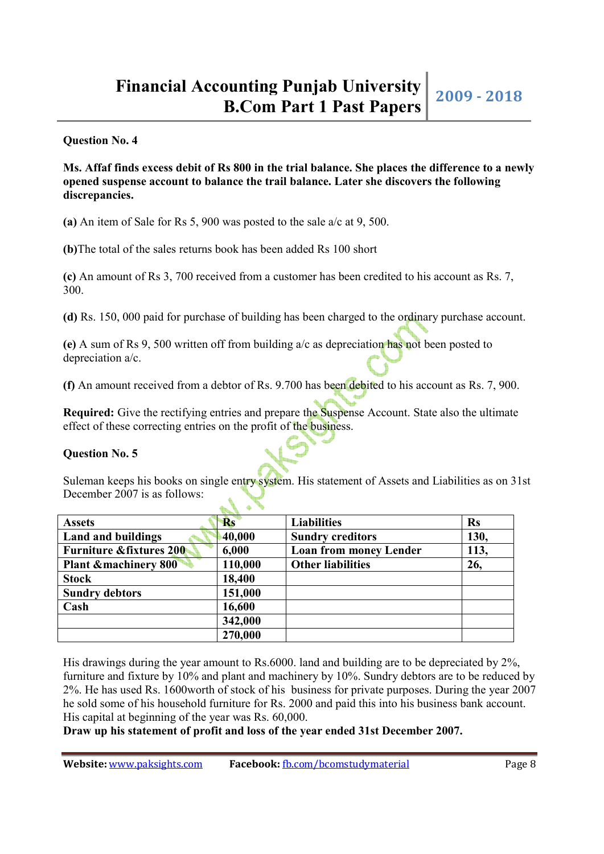**Question No. 4**

**Ms. Affaf finds excess debit of Rs 800 in the trial balance. She places the difference to a newly opened suspense account to balance the trail balance. Later she discovers the following discrepancies.**

**(a)** An item of Sale for Rs 5, 900 was posted to the sale a/c at 9, 500.

**(b)**The total of the sales returns book has been added Rs 100 short

**(c)** An amount of Rs 3, 700 received from a customer has been credited to his account as Rs. 7, 300.

**(d)** Rs. 150, 000 paid for purchase of building has been charged to the ordinary purchase account.

**(e)** A sum of Rs 9, 500 written off from building a/c as depreciation has not been posted to depreciation a/c.

**(f)** An amount received from a debtor of Rs. 9.700 has been debited to his account as Rs. 7, 900.

**Required:** Give the rectifying entries and prepare the Suspense Account. State also the ultimate effect of these correcting entries on the profit of the business.

## **Question No. 5**

Suleman keeps his books on single entry system. His statement of Assets and Liabilities as on 31st December 2007 is as follows:

| <b>Assets</b>                      | <b>Rs</b> | <b>Liabilities</b>            | <b>Rs</b> |
|------------------------------------|-----------|-------------------------------|-----------|
| <b>Land and buildings</b>          | 40,000    | <b>Sundry creditors</b>       | 130,      |
| <b>Furniture &amp;fixtures 200</b> | 6,000     | <b>Loan from money Lender</b> | 113,      |
| <b>Plant &amp; machinery 800</b>   | 110,000   | <b>Other liabilities</b>      | 26,       |
| <b>Stock</b>                       | 18,400    |                               |           |
| <b>Sundry debtors</b>              | 151,000   |                               |           |
| Cash                               | 16,600    |                               |           |
|                                    | 342,000   |                               |           |
|                                    | 270,000   |                               |           |

His drawings during the year amount to Rs.6000. land and building are to be depreciated by 2%, furniture and fixture by 10% and plant and machinery by 10%. Sundry debtors are to be reduced by 2%. He has used Rs. 1600worth of stock of his business for private purposes. During the year 2007 he sold some of his household furniture for Rs. 2000 and paid this into his business bank account. His capital at beginning of the year was Rs. 60,000.

**Draw up his statement of profit and loss of the year ended 31st December 2007.**